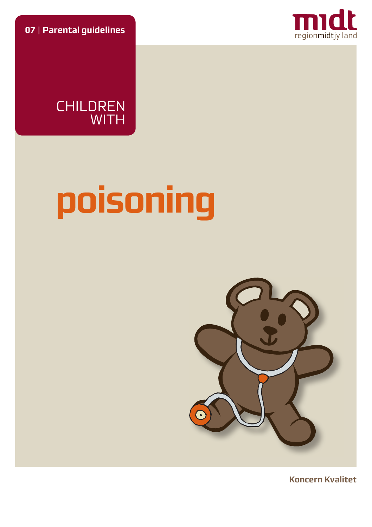**07** | **Parental guidelines**





# **poisoning**



**Koncern Kvalitet**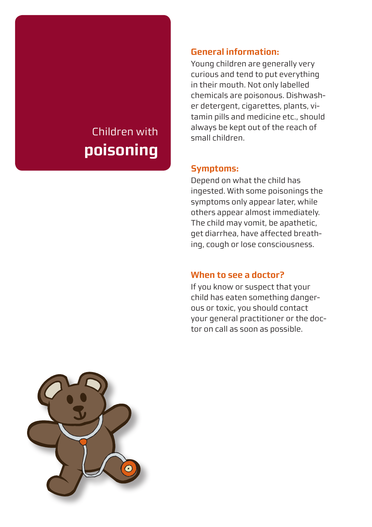## Children with **poisoning**

#### **General information:**

Young children are generally very curious and tend to put everything in their mouth. Not only labelled chemicals are poisonous. Dishwasher detergent, cigarettes, plants, vitamin pills and medicine etc., should always be kept out of the reach of small children.

#### **Symptoms:**

Depend on what the child has ingested. With some poisonings the symptoms only appear later, while others appear almost immediately. The child may vomit, be apathetic, get diarrhea, have affected breathing, cough or lose consciousness.

#### **When to see a doctor?**

If you know or suspect that your child has eaten something dangerous or toxic, you should contact your general practitioner or the doctor on call as soon as possible.

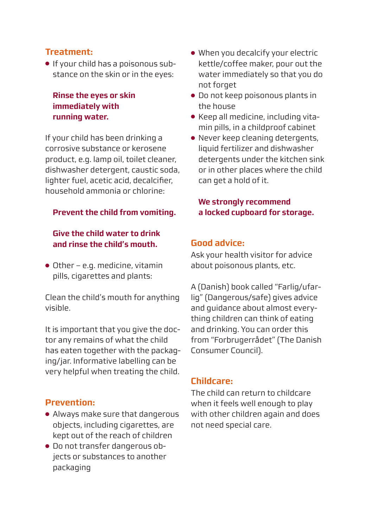#### **Treatment:**

● If your child has a poisonous substance on the skin or in the eyes:

#### **Rinse the eyes or skin immediately with running water.**

If your child has been drinking a corrosive substance or kerosene product, e.g. lamp oil, toilet cleaner, dishwasher detergent, caustic soda, lighter fuel, acetic acid, decalcifier, household ammonia or chlorine:

#### **Prevent the child from vomiting.**

#### **Give the child water to drink and rinse the child's mouth.**

 $\bullet$  Other – e.g. medicine, vitamin pills, cigarettes and plants:

Clean the child's mouth for anything visible.

It is important that you give the doctor any remains of what the child has eaten together with the packaging/jar. Informative labelling can be very helpful when treating the child.

#### **Prevention:**

- Always make sure that dangerous objects, including cigarettes, are kept out of the reach of children
- Do not transfer dangerous objects or substances to another packaging
- When you decalcify your electric kettle/coffee maker, pour out the water immediately so that you do not forget
- Do not keep poisonous plants in the house
- Keep all medicine, including vitamin pills, in a childproof cabinet
- Never keep cleaning detergents, liquid fertilizer and dishwasher detergents under the kitchen sink or in other places where the child can get a hold of it.

#### **We strongly recommend a locked cupboard for storage.**

#### **Good advice:**

Ask your health visitor for advice about poisonous plants, etc.

A (Danish) book called "Farlig/ufarlig" (Dangerous/safe) gives advice and guidance about almost everything children can think of eating and drinking. You can order this from "Forbrugerrådet" (The Danish Consumer Council).

#### **Childcare:**

The child can return to childcare when it feels well enough to play with other children again and does not need special care.